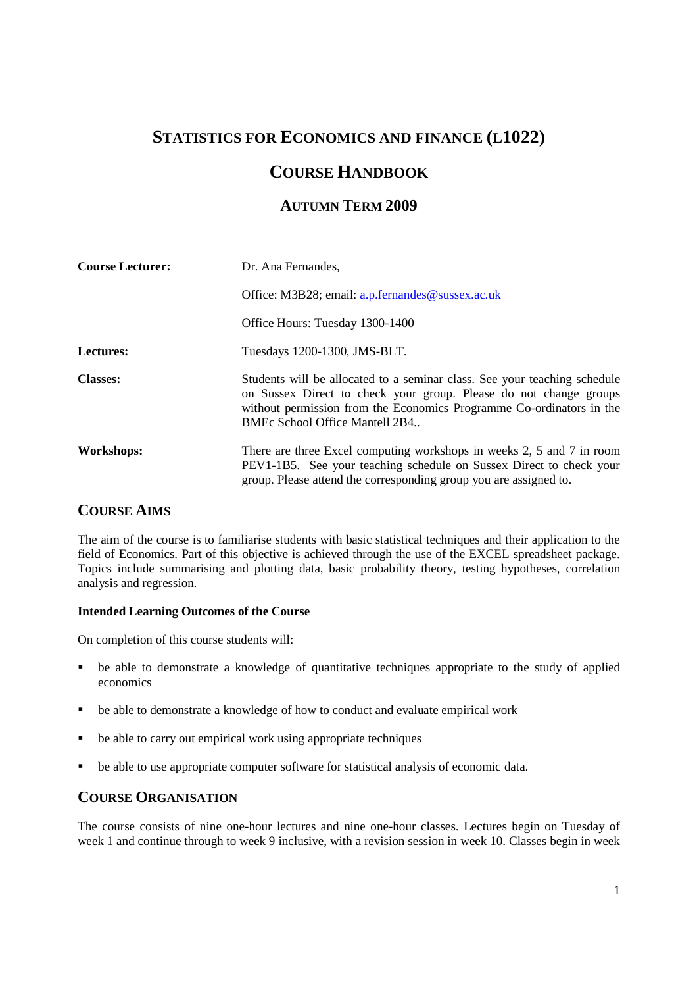# **STATISTICS FOR ECONOMICS AND FINANCE (L1022)**

# **COURSE HANDBOOK**

## **AUTUMN TERM 2009**

| <b>Course Lecturer:</b> | Dr. Ana Fernandes,                                                                                                                                                                                                                                       |  |  |  |
|-------------------------|----------------------------------------------------------------------------------------------------------------------------------------------------------------------------------------------------------------------------------------------------------|--|--|--|
|                         | Office: M3B28; email: a.p.fernandes@sussex.ac.uk                                                                                                                                                                                                         |  |  |  |
|                         | Office Hours: Tuesday 1300-1400                                                                                                                                                                                                                          |  |  |  |
| Lectures:               | Tuesdays 1200-1300, JMS-BLT.                                                                                                                                                                                                                             |  |  |  |
| <b>Classes:</b>         | Students will be allocated to a seminar class. See your teaching schedule<br>on Sussex Direct to check your group. Please do not change groups<br>without permission from the Economics Programme Co-ordinators in the<br>BMEc School Office Mantell 2B4 |  |  |  |
| Workshops:              | There are three Excel computing workshops in weeks 2, 5 and 7 in room<br>PEV1-1B5. See your teaching schedule on Sussex Direct to check your<br>group. Please attend the corresponding group you are assigned to.                                        |  |  |  |

## **COURSE AIMS**

The aim of the course is to familiarise students with basic statistical techniques and their application to the field of Economics. Part of this objective is achieved through the use of the EXCEL spreadsheet package. Topics include summarising and plotting data, basic probability theory, testing hypotheses, correlation analysis and regression.

### **Intended Learning Outcomes of the Course**

On completion of this course students will:

- be able to demonstrate a knowledge of quantitative techniques appropriate to the study of applied economics
- be able to demonstrate a knowledge of how to conduct and evaluate empirical work
- be able to carry out empirical work using appropriate techniques
- be able to use appropriate computer software for statistical analysis of economic data.

## **COURSE ORGANISATION**

The course consists of nine one-hour lectures and nine one-hour classes. Lectures begin on Tuesday of week 1 and continue through to week 9 inclusive, with a revision session in week 10. Classes begin in week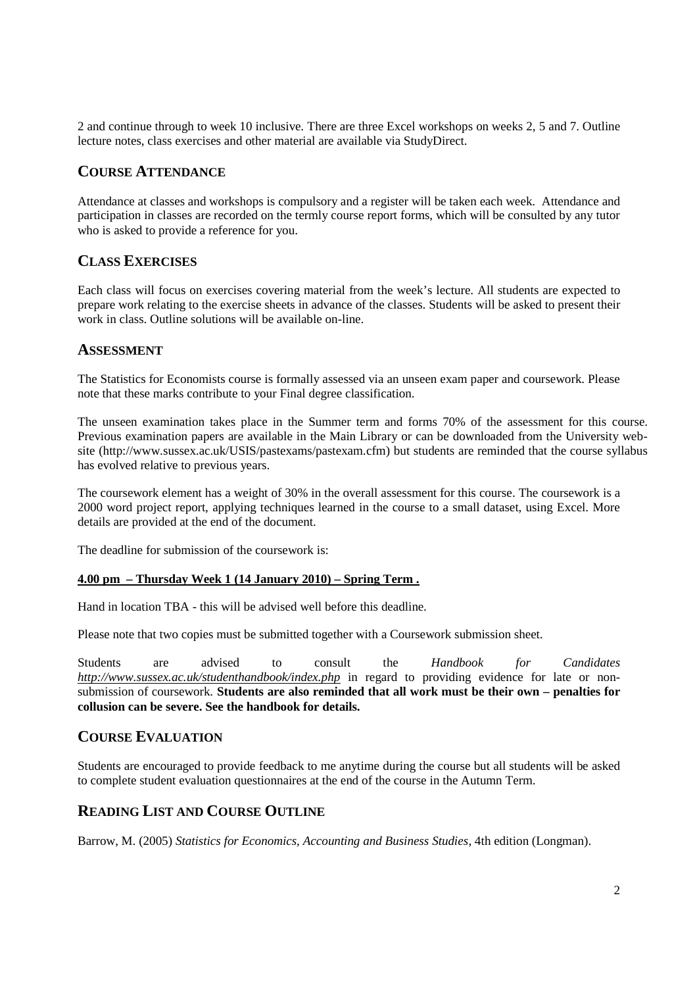2 and continue through to week 10 inclusive. There are three Excel workshops on weeks 2, 5 and 7. Outline lecture notes, class exercises and other material are available via StudyDirect.

### **COURSE ATTENDANCE**

Attendance at classes and workshops is compulsory and a register will be taken each week. Attendance and participation in classes are recorded on the termly course report forms, which will be consulted by any tutor who is asked to provide a reference for you.

## **CLASS EXERCISES**

Each class will focus on exercises covering material from the week's lecture. All students are expected to prepare work relating to the exercise sheets in advance of the classes. Students will be asked to present their work in class. Outline solutions will be available on-line.

### **ASSESSMENT**

The Statistics for Economists course is formally assessed via an unseen exam paper and coursework. Please note that these marks contribute to your Final degree classification.

The unseen examination takes place in the Summer term and forms 70% of the assessment for this course. Previous examination papers are available in the Main Library or can be downloaded from the University website (http://www.sussex.ac.uk/USIS/pastexams/pastexam.cfm) but students are reminded that the course syllabus has evolved relative to previous years.

The coursework element has a weight of 30% in the overall assessment for this course. The coursework is a 2000 word project report, applying techniques learned in the course to a small dataset, using Excel. More details are provided at the end of the document.

The deadline for submission of the coursework is:

#### **4.00 pm – Thursday Week 1 (14 January 2010) – Spring Term .**

Hand in location TBA - this will be advised well before this deadline.

Please note that two copies must be submitted together with a Coursework submission sheet.

Students are advised to consult the *Handbook for Candidates http://www.sussex.ac.uk/studenthandbook/index.php* in regard to providing evidence for late or nonsubmission of coursework. **Students are also reminded that all work must be their own – penalties for collusion can be severe. See the handbook for details.**

### **COURSE EVALUATION**

Students are encouraged to provide feedback to me anytime during the course but all students will be asked to complete student evaluation questionnaires at the end of the course in the Autumn Term.

## **READING LIST AND COURSE OUTLINE**

Barrow, M. (2005) *Statistics for Economics, Accounting and Business Studies*, 4th edition (Longman).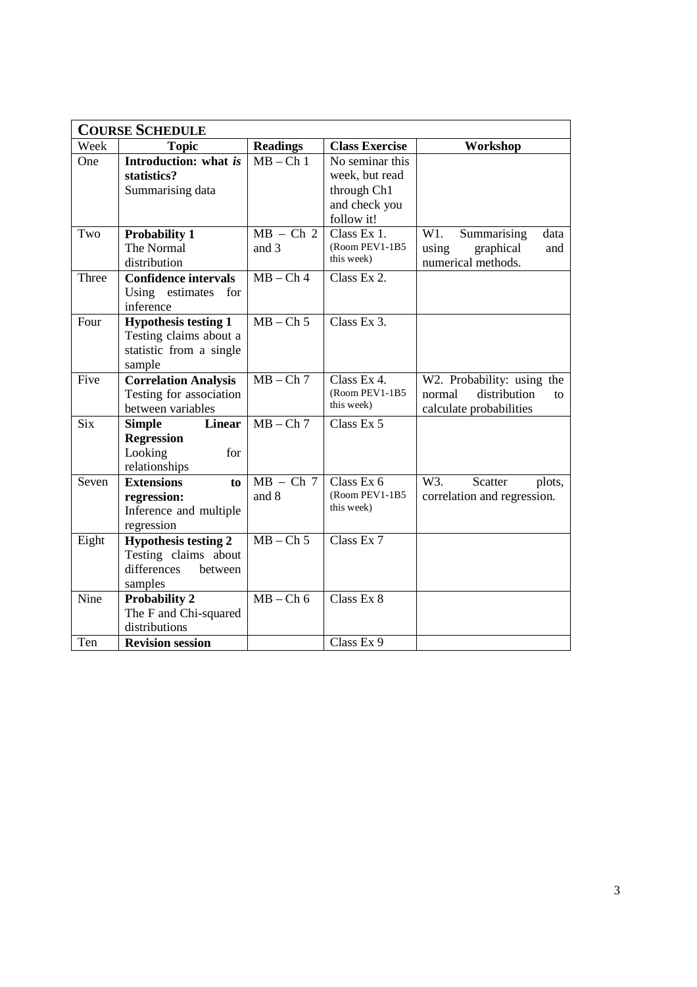| <b>COURSE SCHEDULE</b> |                                                                                            |                      |                                                                                 |                                                                                       |  |
|------------------------|--------------------------------------------------------------------------------------------|----------------------|---------------------------------------------------------------------------------|---------------------------------------------------------------------------------------|--|
| Week                   | <b>Topic</b>                                                                               | <b>Readings</b>      | <b>Class Exercise</b>                                                           | Workshop                                                                              |  |
| One                    | Introduction: what is<br>statistics?<br>Summarising data                                   | $MB - Ch1$           | No seminar this<br>week, but read<br>through Ch1<br>and check you<br>follow it! |                                                                                       |  |
| Two                    | <b>Probability 1</b><br>The Normal<br>distribution                                         | $MB - Ch$ 2<br>and 3 | Class Ex 1.<br>(Room PEV1-1B5<br>this week)                                     | W1.<br>Summarising<br>data<br>using<br>graphical<br>and<br>numerical methods.         |  |
| Three                  | <b>Confidence intervals</b><br>Using estimates<br>for<br>inference                         | $MB - Ch4$           | Class Ex 2.                                                                     |                                                                                       |  |
| Four                   | <b>Hypothesis testing 1</b><br>Testing claims about a<br>statistic from a single<br>sample | $MB - Ch 5$          | Class Ex $3$ .                                                                  |                                                                                       |  |
| Five                   | <b>Correlation Analysis</b><br>Testing for association<br>between variables                | $MB - Ch$ 7          | Class Ex 4.<br>(Room PEV1-1B5<br>this week)                                     | W2. Probability: using the<br>distribution<br>normal<br>tΩ<br>calculate probabilities |  |
| $\overline{Six}$       | <b>Linear</b><br><b>Simple</b><br><b>Regression</b><br>Looking<br>for<br>relationships     | $MB - Ch7$           | Class Ex 5                                                                      |                                                                                       |  |
| Seven                  | <b>Extensions</b><br>to<br>regression:<br>Inference and multiple<br>regression             | $MB - Ch$ 7<br>and 8 | Class Ex 6<br>(Room PEV1-1B5<br>this week)                                      | W3.<br>Scatter<br>plots,<br>correlation and regression.                               |  |
| Eight                  | <b>Hypothesis testing 2</b><br>Testing claims about<br>differences<br>between<br>samples   | $MB - Ch$ 5          | Class Ex 7                                                                      |                                                                                       |  |
| Nine                   | <b>Probability 2</b><br>The F and Chi-squared<br>distributions                             | $MB - Ch 6$          | Class Ex 8                                                                      |                                                                                       |  |
| Ten                    | <b>Revision session</b>                                                                    |                      | Class Ex 9                                                                      |                                                                                       |  |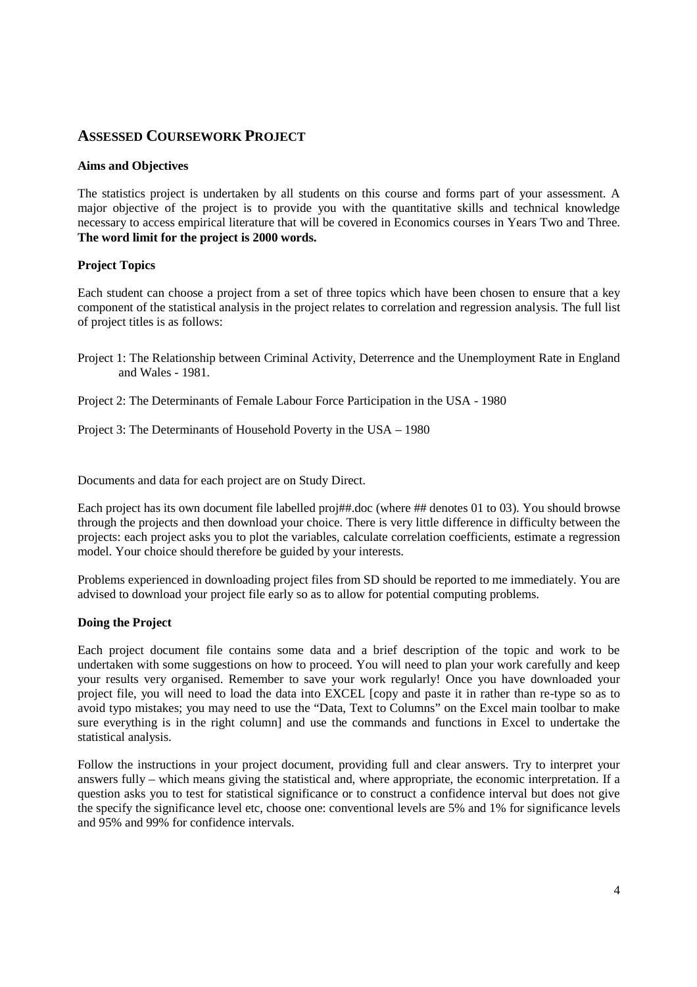## **ASSESSED COURSEWORK PROJECT**

#### **Aims and Objectives**

The statistics project is undertaken by all students on this course and forms part of your assessment. A major objective of the project is to provide you with the quantitative skills and technical knowledge necessary to access empirical literature that will be covered in Economics courses in Years Two and Three. **The word limit for the project is 2000 words.**

#### **Project Topics**

Each student can choose a project from a set of three topics which have been chosen to ensure that a key component of the statistical analysis in the project relates to correlation and regression analysis. The full list of project titles is as follows:

- Project 1: The Relationship between Criminal Activity, Deterrence and the Unemployment Rate in England and Wales - 1981.
- Project 2: The Determinants of Female Labour Force Participation in the USA 1980

Project 3: The Determinants of Household Poverty in the USA – 1980

Documents and data for each project are on Study Direct.

Each project has its own document file labelled proj##.doc (where ## denotes 01 to 03). You should browse through the projects and then download your choice. There is very little difference in difficulty between the projects: each project asks you to plot the variables, calculate correlation coefficients, estimate a regression model. Your choice should therefore be guided by your interests.

Problems experienced in downloading project files from SD should be reported to me immediately. You are advised to download your project file early so as to allow for potential computing problems.

#### **Doing the Project**

Each project document file contains some data and a brief description of the topic and work to be undertaken with some suggestions on how to proceed. You will need to plan your work carefully and keep your results very organised. Remember to save your work regularly! Once you have downloaded your project file, you will need to load the data into EXCEL [copy and paste it in rather than re-type so as to avoid typo mistakes; you may need to use the "Data, Text to Columns" on the Excel main toolbar to make sure everything is in the right column] and use the commands and functions in Excel to undertake the statistical analysis.

Follow the instructions in your project document, providing full and clear answers. Try to interpret your answers fully – which means giving the statistical and, where appropriate, the economic interpretation. If a question asks you to test for statistical significance or to construct a confidence interval but does not give the specify the significance level etc, choose one: conventional levels are 5% and 1% for significance levels and 95% and 99% for confidence intervals.